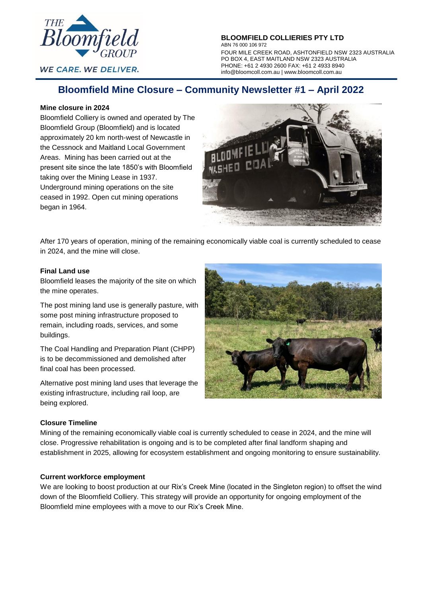

**WE CARE. WE DELIVER.** 

**BLOOMFIELD COLLIERIES PTY LTD** ABN 76 000 106 972 FOUR MILE CREEK ROAD, ASHTONFIELD NSW 2323 AUSTRALIA PO BOX 4, EAST MAITLAND NSW 2323 AUSTRALIA PHONE: +61 2 4930 2600 FAX: +61 2 4933 8940 info@bloomcoll.com.au | [www.bloomcoll.com.au](http://www.bloomcoll.com.au/)

# **Bloomfield Mine Closure – Community Newsletter #1 – April 2022**

# **Mine closure in 2024**

Bloomfield Colliery is owned and operated by The Bloomfield Group (Bloomfield) and is located approximately 20 km north-west of Newcastle in the Cessnock and Maitland Local Government Areas. Mining has been carried out at the present site since the late 1850's with Bloomfield taking over the Mining Lease in 1937. Underground mining operations on the site ceased in 1992. Open cut mining operations began in 1964.



After 170 years of operation, mining of the remaining economically viable coal is currently scheduled to cease in 2024, and the mine will close.

## **Final Land use**

Bloomfield leases the majority of the site on which the mine operates.

The post mining land use is generally pasture, with some post mining infrastructure proposed to remain, including roads, services, and some buildings.

The Coal Handling and Preparation Plant (CHPP) is to be decommissioned and demolished after final coal has been processed.

Alternative post mining land uses that leverage the existing infrastructure, including rail loop, are being explored.



# **Closure Timeline**

Mining of the remaining economically viable coal is currently scheduled to cease in 2024, and the mine will close. Progressive rehabilitation is ongoing and is to be completed after final landform shaping and establishment in 2025, allowing for ecosystem establishment and ongoing monitoring to ensure sustainability.

# **Current workforce employment**

We are looking to boost production at our Rix's Creek Mine (located in the Singleton region) to offset the wind down of the Bloomfield Colliery. This strategy will provide an opportunity for ongoing employment of the Bloomfield mine employees with a move to our Rix's Creek Mine.